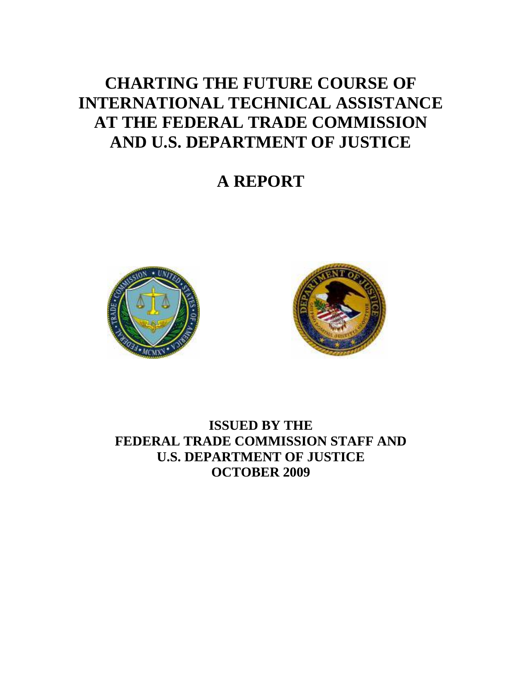# **CHARTING THE FUTURE COURSE OF INTERNATIONAL TECHNICAL ASSISTANCE AT THE FEDERAL TRADE COMMISSION AND U.S. DEPARTMENT OF JUSTICE**

**A REPORT** 





**ISSUED BY THE FEDERAL TRADE COMMISSION STAFF AND U.S. DEPARTMENT OF JUSTICE OCTOBER 2009**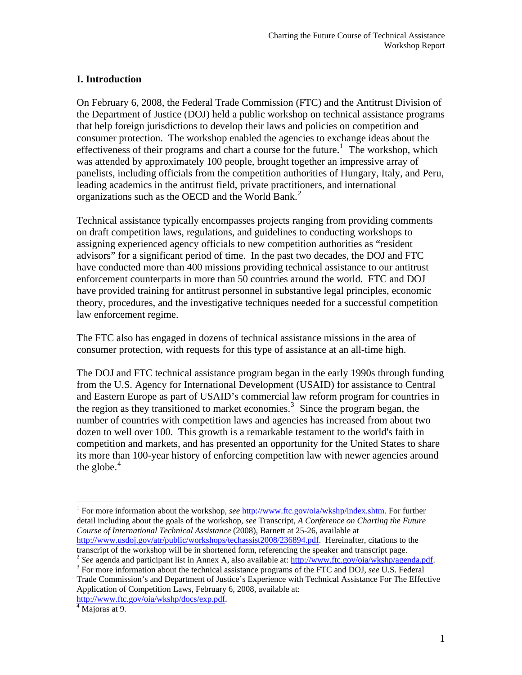# **I. Introduction**

On February 6, 2008, the Federal Trade Commission (FTC) and the Antitrust Division of the Department of Justice (DOJ) held a public workshop on technical assistance programs that help foreign jurisdictions to develop their laws and policies on competition and consumer protection. The workshop enabled the agencies to exchange ideas about the effectiveness of their programs and chart a course for the future.<sup>[1](#page-1-0)</sup> The workshop, which was attended by approximately 100 people, brought together an impressive array of panelists, including officials from the competition authorities of Hungary, Italy, and Peru, leading academics in the antitrust field, private practitioners, and international organizations such as the OECD and the World Bank.<sup>[2](#page-1-1)</sup>

Technical assistance typically encompasses projects ranging from providing comments on draft competition laws, regulations, and guidelines to conducting workshops to assigning experienced agency officials to new competition authorities as "resident advisors" for a significant period of time. In the past two decades, the DOJ and FTC have conducted more than 400 missions providing technical assistance to our antitrust enforcement counterparts in more than 50 countries around the world. FTC and DOJ have provided training for antitrust personnel in substantive legal principles, economic theory, procedures, and the investigative techniques needed for a successful competition law enforcement regime.

The FTC also has engaged in dozens of technical assistance missions in the area of consumer protection, with requests for this type of assistance at an all-time high.

The DOJ and FTC technical assistance program began in the early 1990s through funding from the U.S. Agency for International Development (USAID) for assistance to Central and Eastern Europe as part of USAID's commercial law reform program for countries in the region as they transitioned to market economies.<sup>[3](#page-1-2)</sup> Since the program began, the number of countries with competition laws and agencies has increased from about two dozen to well over 100. This growth is a remarkable testament to the world's faith in competition and markets, and has presented an opportunity for the United States to share its more than 100-year history of enforcing competition law with newer agencies around the globe. $4$ 

<span id="page-1-0"></span><sup>1</sup> For more information about the workshop, *see* <http://www.ftc.gov/oia/wkshp/index.shtm>. For further detail including about the goals of the workshop, *see* Transcript, *A Conference on Charting the Future Course of International Technical Assistance* (2008), Barnett at 25-26, available at <http://www.usdoj.gov/atr/public/workshops/techassist2008/236894.pdf>. Hereinafter, citations to the transcript of the workshop will be in shortened form, referencing the speaker and transcript page.

<span id="page-1-1"></span><sup>2</sup> See agenda and participant list in Annex A, also available at:<http://www.ftc.gov/oia/wkshp/agenda.pdf>. <sup>3</sup> For more information about the technical assistance programs of the FTC and DOJ, see U.S. Federal

<span id="page-1-2"></span>Trade Commission's and Department of Justice's Experience with Technical Assistance For The Effective Application of Competition Laws, February 6, 2008, available at: <http://www.ftc.gov/oia/wkshp/docs/exp.pdf>. [4](http://www.ftc.gov/oia/wkshp/docs/exp.pdf)

<span id="page-1-3"></span><sup>&</sup>lt;sup>4</sup> Majoras at 9.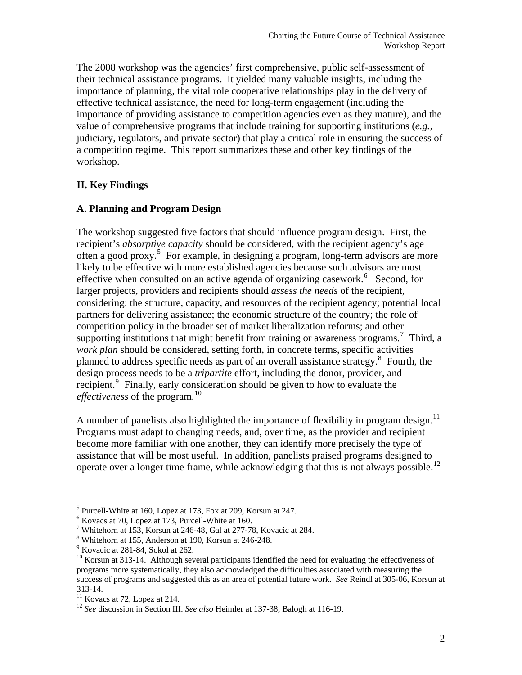The 2008 workshop was the agencies' first comprehensive, public self-assessment of their technical assistance programs. It yielded many valuable insights, including the importance of planning, the vital role cooperative relationships play in the delivery of effective technical assistance, the need for long-term engagement (including the importance of providing assistance to competition agencies even as they mature), and the value of comprehensive programs that include training for supporting institutions (*e.g.,* judiciary, regulators, and private sector) that play a critical role in ensuring the success of a competition regime. This report summarizes these and other key findings of the workshop.

#### **II. Key Findings**

#### **A. Planning and Program Design**

The workshop suggested five factors that should influence program design. First, the recipient's *absorptive capacity* should be considered, with the recipient agency's age often a good proxy.<sup>[5](#page-2-0)</sup> For example, in designing a program, long-term advisors are more likely to be effective with more established agencies because such advisors are most effective when consulted on an active agenda of organizing casework.<sup>[6](#page-2-1)</sup> Second, for larger projects, providers and recipients should *assess the needs* of the recipient, considering: the structure, capacity, and resources of the recipient agency; potential local partners for delivering assistance; the economic structure of the country; the role of competition policy in the broader set of market liberalization reforms; and other supporting institutions that might benefit from training or awareness programs.<sup>[7](#page-2-2)</sup> Third, a *work plan* should be considered, setting forth, in concrete terms, specific activities planned to address specific needs as part of an overall assistance strategy.[8](#page-2-3) Fourth, the design process needs to be a *tripartite* effort, including the donor, provider, and recipient.<sup>[9](#page-2-4)</sup> Finally, early consideration should be given to how to evaluate the *effectiveness* of the program.<sup>[10](#page-2-5)</sup>

A number of panelists also highlighted the importance of flexibility in program design.<sup>[11](#page-2-6)</sup> Programs must adapt to changing needs, and, over time, as the provider and recipient become more familiar with one another, they can identify more precisely the type of assistance that will be most useful. In addition, panelists praised programs designed to operate over a longer time frame, while acknowledging that this is not always possible.[12](#page-2-7)

<span id="page-2-0"></span><sup>&</sup>lt;sup>5</sup> Purcell-White at 160, Lopez at 173, Fox at 209, Korsun at 247.

<span id="page-2-1"></span> $6$  Kovacs at 70, Lopez at 173, Purcell-White at 160.

<span id="page-2-2"></span><sup>&</sup>lt;sup>7</sup> Whitehorn at 153, Korsun at 246-48, Gal at 277-78, Kovacic at 284.

<span id="page-2-3"></span><sup>8</sup> Whitehorn at 155, Anderson at 190, Korsun at 246-248.

<sup>&</sup>lt;sup>9</sup> Kovacic at 281-84, Sokol at 262.

<span id="page-2-5"></span><span id="page-2-4"></span><sup>&</sup>lt;sup>10</sup> Korsun at 313-14. Although several participants identified the need for evaluating the effectiveness of programs more systematically, they also acknowledged the difficulties associated with measuring the success of programs and suggested this as an area of potential future work. *See* Reindl at 305-06, Korsun at 313-14.

<span id="page-2-6"></span> $11$  Kovacs at 72, Lopez at 214.

<span id="page-2-7"></span><sup>12</sup> *See* discussion in Section III. *See also* Heimler at 137-38, Balogh at 116-19.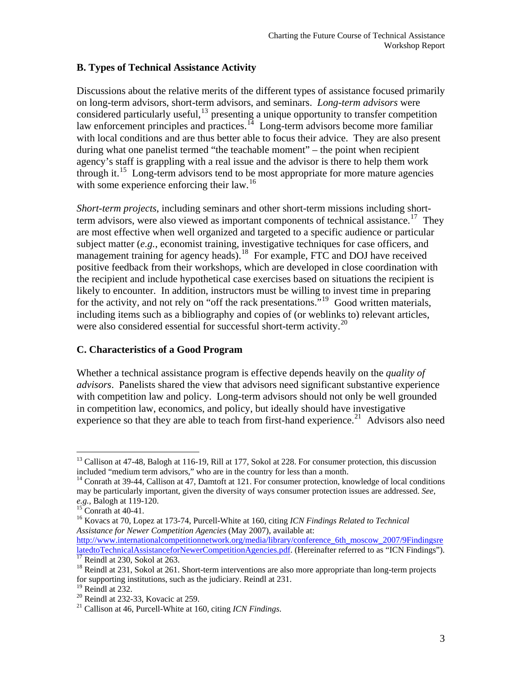# **B. Types of Technical Assistance Activity**

Discussions about the relative merits of the different types of assistance focused primarily on long-term advisors, short-term advisors, and seminars. *Long-term advisors* were considered particularly useful,<sup>[13](#page-3-0)</sup> presenting a unique opportunity to transfer competition law enforcement principles and practices.<sup>[14](#page-3-1)</sup> Long-term advisors become more familiar with local conditions and are thus better able to focus their advice. They are also present during what one panelist termed "the teachable moment" – the point when recipient agency's staff is grappling with a real issue and the advisor is there to help them work through it.<sup>[15](#page-3-2)</sup> Long-term advisors tend to be most appropriate for more mature agencies with some experience enforcing their law.<sup>[16](#page-3-3)</sup>

*Short-term projects*, including seminars and other short-term missions including short-term advisors, were also viewed as important components of technical assistance.<sup>[17](#page-3-4)</sup> They are most effective when well organized and targeted to a specific audience or particular subject matter (*e.g.*, economist training, investigative techniques for case officers, and management training for agency heads).<sup>[18](#page-3-5)</sup> For example, FTC and DOJ have received positive feedback from their workshops, which are developed in close coordination with the recipient and include hypothetical case exercises based on situations the recipient is likely to encounter. In addition, instructors must be willing to invest time in preparing for the activity, and not rely on "off the rack presentations."<sup>[19](#page-3-6)</sup> Good written materials, including items such as a bibliography and copies of (or weblinks to) relevant articles, were also considered essential for successful short-term activity. $^{20}$  $^{20}$  $^{20}$ 

#### **C. Characteristics of a Good Program**

Whether a technical assistance program is effective depends heavily on the *quality of advisors*. Panelists shared the view that advisors need significant substantive experience with competition law and policy. Long-term advisors should not only be well grounded in competition law, economics, and policy, but ideally should have investigative experience so that they are able to teach from first-hand experience.<sup>[21](#page-3-8)</sup> Advisors also need

<span id="page-3-0"></span> $\overline{a}$ <sup>13</sup> Callison at 47-48, Balogh at 116-19, Rill at 177, Sokol at 228. For consumer protection, this discussion included "medium term advisors," who are in the country for less than a month.

<span id="page-3-1"></span><sup>&</sup>lt;sup>14</sup> Conrath at 39-44, Callison at 47, Damtoft at 121. For consumer protection, knowledge of local conditions may be particularly important, given the diversity of ways consumer protection issues are addressed. *See, e.g.*, Balogh at 119-120. 15 Conrath at 40-41.

<span id="page-3-3"></span><span id="page-3-2"></span><sup>16</sup> Kovacs at 70, Lopez at 173-74, Purcell-White at 160, citing *ICN Findings Related to Technical Assistance for Newer Competition Agencies* (May 2007), available at:

[http://www.internationalcompetitionnetwork.org/media/library/conference\\_6th\\_moscow\\_2007/9Findingsre](http://www.internationalcompetitionnetwork.org/media/library/conference_6th_moscow_2007/9FindingsrelatedtoTechnicalAssistanceforNewerCompetitionAgencies.pdf) [latedtoTechnicalAssistanceforNewerCompetitionAgencies.pdf.](http://www.internationalcompetitionnetwork.org/media/library/conference_6th_moscow_2007/9FindingsrelatedtoTechnicalAssistanceforNewerCompetitionAgencies.pdf) (Hereinafter referred to as "ICN Findings"). [17](http://www.internationalcompetitionnetwork.org/media/library/conference_6th_moscow_2007/9FindingsrelatedtoTechnicalAssistanceforNewerCompetitionAgencies.pdf) Reindl at 230, Sokol at 263.

<span id="page-3-5"></span><span id="page-3-4"></span><sup>&</sup>lt;sup>18</sup> Reindl at 231, Sokol at 261. Short-term interventions are also more appropriate than long-term projects for supporting institutions, such as the judiciary. Reindl at 231.

<span id="page-3-6"></span><sup>&</sup>lt;sup>19</sup> Reindl at 232.

<span id="page-3-7"></span> $20$  Reindl at 232-33, Kovacic at 259.

<span id="page-3-8"></span><sup>21</sup> Callison at 46, Purcell-White at 160, citing *ICN Findings*.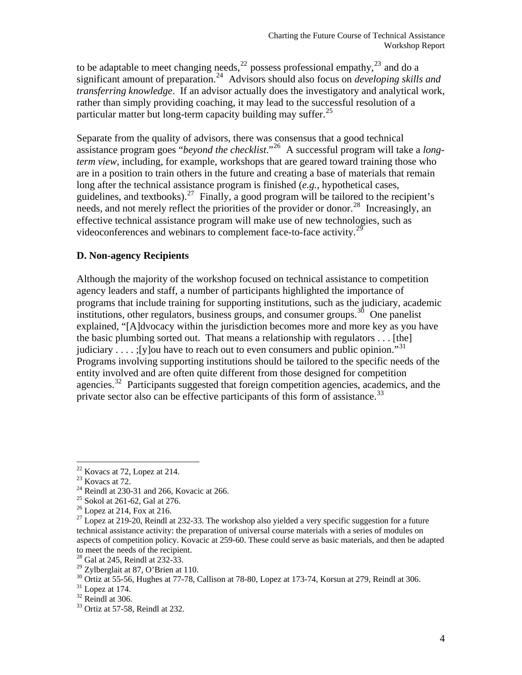to be adaptable to meet changing needs,<sup>[22](#page-4-0)</sup> possess professional empathy,<sup>[23](#page-4-1)</sup> and do a significant amount of preparation.<sup>[24](#page-4-2)</sup> Advisors should also focus on *developing skills and transferring knowledge*. If an advisor actually does the investigatory and analytical work, rather than simply providing coaching, it may lead to the successful resolution of a particular matter but long-term capacity building may suffer.<sup>[25](#page-4-3)</sup>

Separate from the quality of advisors, there was consensus that a good technical assistance program goes "*beyond the checklist*."[26](#page-4-4) A successful program will take a *longterm view*, including, for example, workshops that are geared toward training those who are in a position to train others in the future and creating a base of materials that remain long after the technical assistance program is finished (*e.g.*, hypothetical cases, guidelines, and textbooks).<sup>[27](#page-4-5)</sup> Finally, a good program will be tailored to the recipient's needs, and not merely reflect the priorities of the provider or donor.<sup>[28](#page-4-6)</sup> Increasingly, an effective technical assistance program will make use of new technologies, such as videoconferences and webinars to complement face-to-face activity.<sup>[29](#page-4-7)</sup>

#### **D. Non-agency Recipients**

Although the majority of the workshop focused on technical assistance to competition agency leaders and staff, a number of participants highlighted the importance of programs that include training for supporting institutions, such as the judiciary, academic institutions, other regulators, business groups, and consumer groups.<sup>[30](#page-4-8)</sup> One panelist explained, "[A]dvocacy within the jurisdiction becomes more and more key as you have the basic plumbing sorted out. That means a relationship with regulators . . . [the] judiciary . . . . ;[y]ou have to reach out to even consumers and public opinion."[31](#page-4-9) Programs involving supporting institutions should be tailored to the specific needs of the entity involved and are often quite different from those designed for competition agencies.<sup>[32](#page-4-10)</sup> Participants suggested that foreign competition agencies, academics, and the private sector also can be effective participants of this form of assistance.<sup>[33](#page-4-11)</sup>

 $22$  Kovacs at 72, Lopez at 214.

<span id="page-4-1"></span><span id="page-4-0"></span> $23$  Kovacs at 72.

<span id="page-4-2"></span> $^{24}$  Reindl at 230-31 and 266, Kovacic at 266.

 $25$  Sokol at 261-62, Gal at 276.

<span id="page-4-4"></span><span id="page-4-3"></span> $26$  Lopez at 214, Fox at 216.

<span id="page-4-5"></span> $27$  Lopez at 219-20, Reindl at 232-33. The workshop also yielded a very specific suggestion for a future technical assistance activity: the preparation of universal course materials with a series of modules on aspects of competition policy. Kovacic at 259-60. These could serve as basic materials, and then be adapted to meet the needs of the recipient.

 $28$  Gal at 245, Reindl at 232-33.

<span id="page-4-7"></span><span id="page-4-6"></span> $29$  Zylberglait at 87, O'Brien at 110.

<span id="page-4-8"></span> $30$  Ortiz at 55-56, Hughes at 77-78, Callison at 78-80, Lopez at 173-74, Korsun at 279, Reindl at 306.  $31$  Lopez at 174.

<span id="page-4-9"></span>

<span id="page-4-10"></span> $32$  Reindl at 306.

<span id="page-4-11"></span><sup>33</sup> Ortiz at 57-58, Reindl at 232.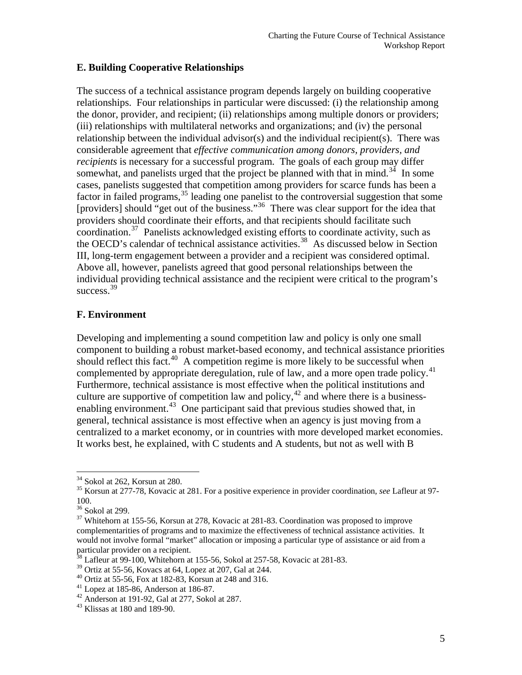#### **E. Building Cooperative Relationships**

The success of a technical assistance program depends largely on building cooperative relationships. Four relationships in particular were discussed: (i) the relationship among the donor, provider, and recipient; (ii) relationships among multiple donors or providers; (iii) relationships with multilateral networks and organizations; and (iv) the personal relationship between the individual advisor(s) and the individual recipient(s). There was considerable agreement that *effective communication among donors, providers, and recipients* is necessary for a successful program. The goals of each group may differ somewhat, and panelists urged that the project be planned with that in mind.<sup>[34](#page-5-0)</sup> In some cases, panelists suggested that competition among providers for scarce funds has been a factor in failed programs,  $35$  leading one panelist to the controversial suggestion that some [providers] should "get out of the business."<sup>[36](#page-5-2)</sup> There was clear support for the idea that providers should coordinate their efforts, and that recipients should facilitate such coordination.<sup>[37](#page-5-3)</sup> Panelists acknowledged existing efforts to coordinate activity, such as the OECD's calendar of technical assistance activities.<sup>[38](#page-5-4)</sup> As discussed below in Section III, long-term engagement between a provider and a recipient was considered optimal. Above all, however, panelists agreed that good personal relationships between the individual providing technical assistance and the recipient were critical to the program's success.<sup>[39](#page-5-5)</sup>

# **F. Environment**

Developing and implementing a sound competition law and policy is only one small component to building a robust market-based economy, and technical assistance priorities should reflect this fact.<sup>[40](#page-5-6)</sup> A competition regime is more likely to be successful when complemented by appropriate deregulation, rule of law, and a more open trade policy.<sup>[41](#page-5-7)</sup> Furthermore, technical assistance is most effective when the political institutions and culture are supportive of competition law and policy,  $42$  and where there is a business-enabling environment.<sup>[43](#page-5-9)</sup> One participant said that previous studies showed that, in general, technical assistance is most effective when an agency is just moving from a centralized to a market economy, or in countries with more developed market economies. It works best, he explained, with C students and A students, but not as well with B

<span id="page-5-0"></span><sup>&</sup>lt;sup>34</sup> Sokol at 262, Korsun at 280.

<span id="page-5-1"></span><sup>35</sup> Korsun at 277-78, Kovacic at 281. For a positive experience in provider coordination, *see* Lafleur at 97- 100.

<span id="page-5-2"></span><sup>36</sup> Sokol at 299.

<span id="page-5-3"></span><sup>&</sup>lt;sup>37</sup> Whitehorn at 155-56, Korsun at 278, Kovacic at 281-83. Coordination was proposed to improve complementarities of programs and to maximize the effectiveness of technical assistance activities. It would not involve formal "market" allocation or imposing a particular type of assistance or aid from a particular provider on a recipient.

 $38$  Lafleur at 99-100, Whitehorn at 155-56, Sokol at 257-58, Kovacic at 281-83.

<span id="page-5-5"></span><span id="page-5-4"></span> $39$  Ortiz at 55-56, Kovacs at 64, Lopez at 207, Gal at 244.<br> $40$  Ortiz at 55-56, Fox at 182-83, Korsun at 248 and 316.

<span id="page-5-7"></span><span id="page-5-6"></span> $41$  Lopez at 185-86, Anderson at 186-87.

<span id="page-5-8"></span> $42$  Anderson at 191-92, Gal at 277, Sokol at 287.

<span id="page-5-9"></span><sup>43</sup> Klissas at 180 and 189-90.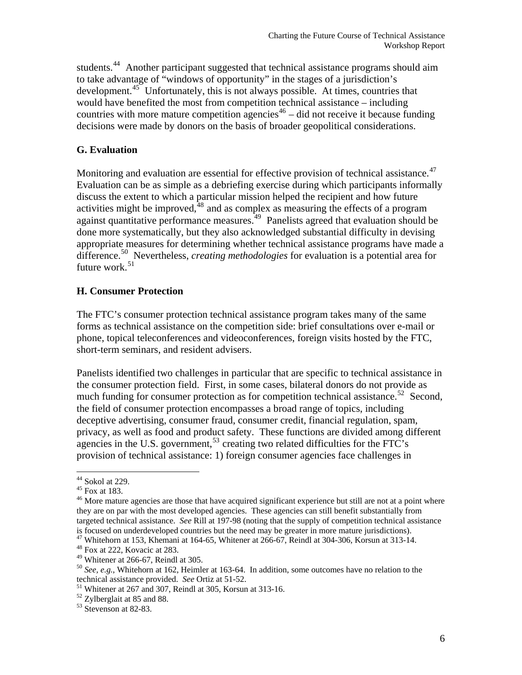decisions were made by donors on the basis of broader geopolitical considerations. students.<sup>[44](#page-6-0)</sup> Another participant suggested that technical assistance programs should aim to take advantage of "windows of opportunity" in the stages of a jurisdiction's development.<sup>[45](#page-6-1)</sup> Unfortunately, this is not always possible. At times, countries that would have benefited the most from competition technical assistance – including countries with more mature competition agencies<sup>[46](#page-6-2)</sup> – did not receive it because funding

#### **G. Evaluation**

Monitoring and evaluation are essential for effective provision of technical assistance.<sup>[47](#page-6-3)</sup> Evaluation can be as simple as a debriefing exercise during which participants informally discuss the extent to which a particular mission helped the recipient and how future activities might be improved, $48$  and as complex as measuring the effects of a program against quantitative performance measures.<sup>[49](#page-6-5)</sup> Panelists agreed that evaluation should be done more systematically, but they also acknowledged substantial difficulty in devising appropriate measures for determining whether technical assistance programs have made a difference.[50](#page-6-6) Nevertheless, *creating methodologies* for evaluation is a potential area for future work. $51$ 

# **H. Consumer Protection**

The FTC's consumer protection technical assistance program takes many of the same forms as technical assistance on the competition side: brief consultations over e-mail or phone, topical teleconferences and videoconferences, foreign visits hosted by the FTC, short-term seminars, and resident advisers.

Panelists identified two challenges in particular that are specific to technical assistance in the consumer protection field. First, in some cases, bilateral donors do not provide as much funding for consumer protection as for competition technical assistance.<sup>[52](#page-6-8)</sup> Second, the field of consumer protection encompasses a broad range of topics, including deceptive advertising, consumer fraud, consumer credit, financial regulation, spam, privacy, as well as food and product safety. These functions are divided among different agencies in the U.S. government,  $53$  creating two related difficulties for the FTC's provision of technical assistance: 1) foreign consumer agencies face challenges in

 $44$  Sokol at 229.

<span id="page-6-1"></span><span id="page-6-0"></span> $45$  Fox at 183.

<span id="page-6-2"></span><sup>&</sup>lt;sup>46</sup> More mature agencies are those that have acquired significant experience but still are not at a point where they are on par with the most developed agencies. These agencies can still benefit substantially from targeted technical assistance. *See* Rill at 197-98 (noting that the supply of competition technical assistance is focused on underdeveloped countries but the need may be greater in more mature jurisdictions). 47 Whitehorn at 153, Khemani at 164-65, Whitener at 266-67, Reindl at 304-306, Korsun at 313-14.

<span id="page-6-3"></span>

<span id="page-6-4"></span><sup>48</sup> Fox at 222, Kovacic at 283.

<span id="page-6-5"></span> $49$  Whitener at 266-67, Reindl at 305.

<span id="page-6-6"></span><sup>&</sup>lt;sup>50</sup> *See, e.g.*, Whitehorn at 162, Heimler at 163-64. In addition, some outcomes have no relation to the technical assistance provided. *See* Ortiz at 51-52.

<span id="page-6-7"></span><sup>&</sup>lt;sup>51</sup> Whitener at 267 and 307, Reindl at 305, Korsun at 313-16.

<span id="page-6-8"></span><sup>52</sup> Zylberglait at 85 and 88.

<span id="page-6-9"></span><sup>&</sup>lt;sup>53</sup> Stevenson at 82-83.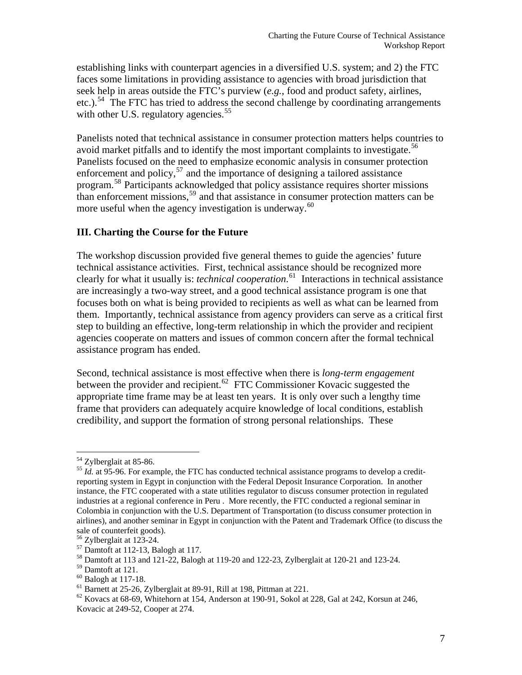establishing links with counterpart agencies in a diversified U.S. system; and 2) the FTC faces some limitations in providing assistance to agencies with broad jurisdiction that seek help in areas outside the FTC's purview (*e.g.*, food and product safety, airlines, etc.).<sup>[54](#page-7-0)</sup> The FTC has tried to address the second challenge by coordinating arrangements with other U.S. regulatory agencies.<sup>[55](#page-7-1)</sup>

Panelists noted that technical assistance in consumer protection matters helps countries to avoid market pitfalls and to identify the most important complaints to investigate.<sup>[56](#page-7-2)</sup> Panelists focused on the need to emphasize economic analysis in consumer protection enforcement and policy,  $57$  and the importance of designing a tailored assistance program.[58](#page-7-4) Participants acknowledged that policy assistance requires shorter missions than enforcement missions,  $59$  and that assistance in consumer protection matters can be more useful when the agency investigation is underway.<sup>[60](#page-7-6)</sup>

#### **III. Charting the Course for the Future**

The workshop discussion provided five general themes to guide the agencies' future technical assistance activities. First, technical assistance should be recognized more clearly for what it usually is: *technical cooperation*. [61](#page-7-7) Interactions in technical assistance are increasingly a two-way street, and a good technical assistance program is one that focuses both on what is being provided to recipients as well as what can be learned from them. Importantly, technical assistance from agency providers can serve as a critical first step to building an effective, long-term relationship in which the provider and recipient agencies cooperate on matters and issues of common concern after the formal technical assistance program has ended.

Second, technical assistance is most effective when there is *long-term engagement* between the provider and recipient.<sup>[62](#page-7-8)</sup> FTC Commissioner Kovacic suggested the appropriate time frame may be at least ten years. It is only over such a lengthy time frame that providers can adequately acquire knowledge of local conditions, establish credibility, and support the formation of strong personal relationships. These

<sup>&</sup>lt;sup>54</sup> Zylberglait at 85-86.

<span id="page-7-1"></span><span id="page-7-0"></span> $\frac{55}{10}$  *Id.* at 95-96. For example, the FTC has conducted technical assistance programs to develop a creditreporting system in Egypt in conjunction with the Federal Deposit Insurance Corporation. In another instance, the FTC cooperated with a state utilities regulator to discuss consumer protection in regulated industries at a regional conference in Peru . More recently, the FTC conducted a regional seminar in Colombia in conjunction with the U.S. Department of Transportation (to discuss consumer protection in airlines), and another seminar in Egypt in conjunction with the Patent and Trademark Office (to discuss the sale of counterfeit goods).

<span id="page-7-2"></span><sup>56</sup> Zylberglait at 123-24.

<span id="page-7-3"></span> $57$  Damtoft at 112-13, Balogh at 117.

<span id="page-7-4"></span><sup>58</sup> Damtoft at 113 and 121-22, Balogh at 119-20 and 122-23, Zylberglait at 120-21 and 123-24.

<span id="page-7-5"></span><sup>59</sup> Damtoft at 121.

<span id="page-7-6"></span><sup>60</sup> Balogh at 117-18.

<span id="page-7-7"></span><sup>61</sup> Barnett at 25-26, Zylberglait at 89-91, Rill at 198, Pittman at 221.

<span id="page-7-8"></span> $^{62}$  Kovacs at 68-69, Whitehorn at 154, Anderson at 190-91, Sokol at 228, Gal at 242, Korsun at 246, Kovacic at 249-52, Cooper at 274.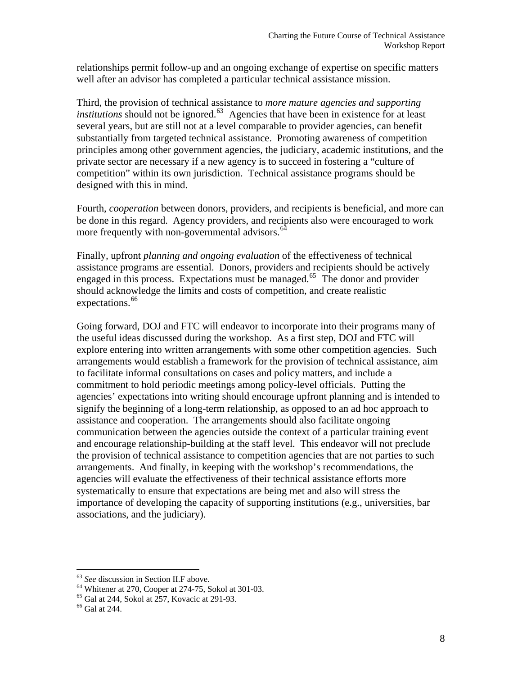relationships permit follow-up and an ongoing exchange of expertise on specific matters well after an advisor has completed a particular technical assistance mission.

Third, the provision of technical assistance to *more mature agencies and supporting institutions* should not be ignored.<sup>[63](#page-8-0)</sup> Agencies that have been in existence for at least several years, but are still not at a level comparable to provider agencies, can benefit substantially from targeted technical assistance. Promoting awareness of competition principles among other government agencies, the judiciary, academic institutions, and the private sector are necessary if a new agency is to succeed in fostering a "culture of competition" within its own jurisdiction. Technical assistance programs should be designed with this in mind.

Fourth, *cooperation* between donors, providers, and recipients is beneficial, and more can be done in this regard. Agency providers, and recipients also were encouraged to work more frequently with non-governmental advisors.<sup>[64](#page-8-1)</sup>

Finally*,* upfront *planning and ongoing evaluation* of the effectiveness of technical assistance programs are essential. Donors, providers and recipients should be actively engaged in this process. Expectations must be managed.<sup>[65](#page-8-2)</sup> The donor and provider should acknowledge the limits and costs of competition, and create realistic expectations.<sup>[66](#page-8-3)</sup>

Going forward, DOJ and FTC will endeavor to incorporate into their programs many of the useful ideas discussed during the workshop. As a first step, DOJ and FTC will explore entering into written arrangements with some other competition agencies. Such arrangements would establish a framework for the provision of technical assistance, aim to facilitate informal consultations on cases and policy matters, and include a commitment to hold periodic meetings among policy-level officials. Putting the agencies' expectations into writing should encourage upfront planning and is intended to signify the beginning of a long-term relationship, as opposed to an ad hoc approach to assistance and cooperation. The arrangements should also facilitate ongoing communication between the agencies outside the context of a particular training event and encourage relationship-building at the staff level. This endeavor will not preclude the provision of technical assistance to competition agencies that are not parties to such arrangements. And finally, in keeping with the workshop's recommendations, the agencies will evaluate the effectiveness of their technical assistance efforts more systematically to ensure that expectations are being met and also will stress the importance of developing the capacity of supporting institutions (e.g., universities, bar associations, and the judiciary).

<sup>&</sup>lt;sup>63</sup> See discussion in Section II.F above.

<span id="page-8-1"></span><span id="page-8-0"></span><sup>&</sup>lt;sup>64</sup> Whitener at 270, Cooper at 274-75, Sokol at 301-03.

<span id="page-8-2"></span> $65$  Gal at 244, Sokol at 257, Kovacic at 291-93.

<span id="page-8-3"></span><sup>66</sup> Gal at 244.